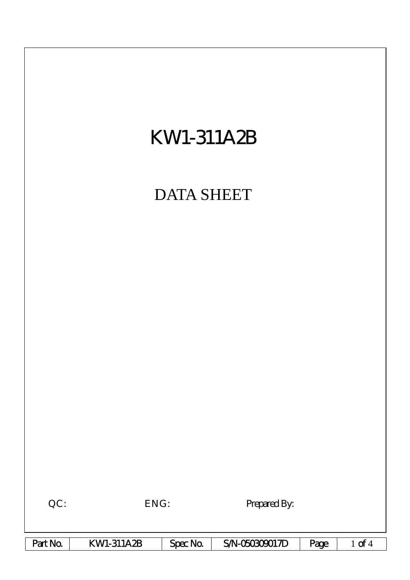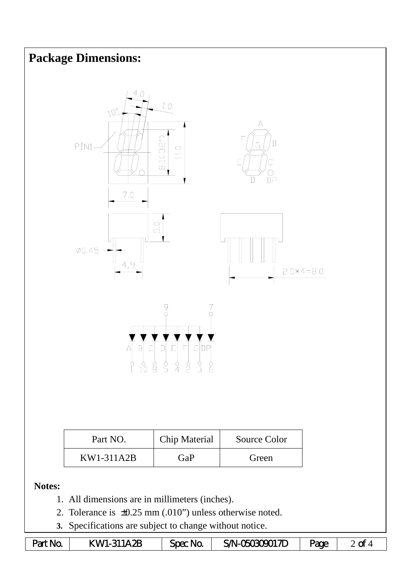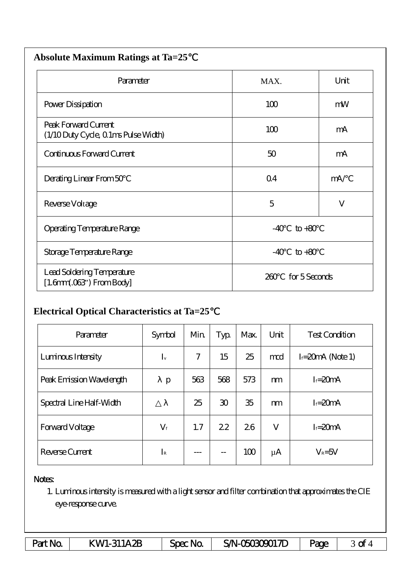| <b>Absolute Maximum Ratings at Ta=25</b>                     |                      |      |  |  |  |
|--------------------------------------------------------------|----------------------|------|--|--|--|
| Parameter                                                    | MAX.                 | Unit |  |  |  |
| Power Dissipation                                            | 100                  | mW   |  |  |  |
| Peak Forward Current<br>(1/10 Duty Cycle, 0 1ms Pulse Width) | 100                  | mA   |  |  |  |
| Continuous Forward Current                                   | 50                   | mA   |  |  |  |
| Derating Linear From 50                                      | Q <sub>4</sub>       | mA/  |  |  |  |
| Reverse Voltage                                              | 5                    | V    |  |  |  |
| Operating Temperature Range                                  | $-40$<br>$to +80$    |      |  |  |  |
| Storage Temperature Range                                    | $to +80$<br>$-40$    |      |  |  |  |
| Lead Soldering Temperature<br>$[1.6mm.03$ ") From Body]      | for 5 Seconds<br>260 |      |  |  |  |

## **Electrical Optical Characteristics at Ta=25**℃

| Parameter                | Symbol      | Min | Typ            | Max. | Unit    | <b>Test Condition</b> |
|--------------------------|-------------|-----|----------------|------|---------|-----------------------|
| Luninous Intensity       | $I_{v}$     | 7   | 15             | 25   | md      | $I = 20mA$ (Note 1)   |
| Peak Emission Wavelength | p           | 563 | 568            | 573  | m       | $I = 20mA$            |
| Spectral Line Half-Width |             | 25  | $\mathfrak{D}$ | 35   | m       | $I = 20mA$            |
| <b>Forward Voltage</b>   | $V_{\rm f}$ | 1.7 | 22             | 26   | V       | $I = 20mA$            |
| Reverse Current          | $I_{\rm R}$ |     | --             | 100  | $\mu$ A | $V_R = 5V$            |

## Notes:

1. Luminous intensity is measured with a light sensor and filter combination that approximates the CIE eye-response curve.

| Part No. | <b>KWI-311A2B</b> | $Spec$ No. | SAN-050309017D | <b>Page</b> | ᅯ<br>ີ |
|----------|-------------------|------------|----------------|-------------|--------|
|----------|-------------------|------------|----------------|-------------|--------|